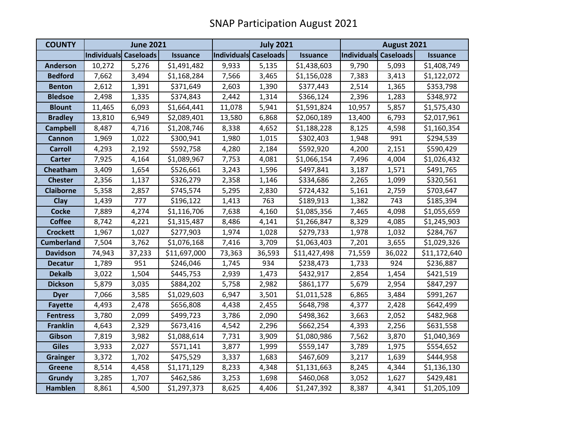| <b>COUNTY</b>     | <b>June 2021</b>      |        |                 | <b>July 2021</b>      |        |                 | August 2021           |        |                 |
|-------------------|-----------------------|--------|-----------------|-----------------------|--------|-----------------|-----------------------|--------|-----------------|
|                   | Individuals Caseloads |        | <b>Issuance</b> | Individuals Caseloads |        | <b>Issuance</b> | Individuals Caseloads |        | <b>Issuance</b> |
| <b>Anderson</b>   | 10,272                | 5,276  | \$1,491,482     | 9,933                 | 5,135  | \$1,438,603     | 9,790                 | 5,093  | \$1,408,749     |
| <b>Bedford</b>    | 7,662                 | 3,494  | \$1,168,284     | 7,566                 | 3,465  | \$1,156,028     | 7,383                 | 3,413  | \$1,122,072     |
| <b>Benton</b>     | 2,612                 | 1,391  | \$371,649       | 2,603                 | 1,390  | \$377,443       | 2,514                 | 1,365  | \$353,798       |
| <b>Bledsoe</b>    | 2,498                 | 1,335  | \$374,843       | 2,442                 | 1,314  | \$366,124       | 2,396                 | 1,283  | \$348,972       |
| <b>Blount</b>     | 11,465                | 6,093  | \$1,664,441     | 11,078                | 5,941  | \$1,591,824     | 10,957                | 5,857  | \$1,575,430     |
| <b>Bradley</b>    | 13,810                | 6,949  | \$2,089,401     | 13,580                | 6,868  | \$2,060,189     | 13,400                | 6,793  | \$2,017,961     |
| <b>Campbell</b>   | 8,487                 | 4,716  | \$1,208,746     | 8,338                 | 4,652  | \$1,188,228     | 8,125                 | 4,598  | \$1,160,354     |
| <b>Cannon</b>     | 1,969                 | 1,022  | \$300,941       | 1,980                 | 1,015  | \$302,403       | 1,948                 | 991    | \$294,539       |
| <b>Carroll</b>    | 4,293                 | 2,192  | \$592,758       | 4,280                 | 2,184  | \$592,920       | 4,200                 | 2,151  | \$590,429       |
| <b>Carter</b>     | 7,925                 | 4,164  | \$1,089,967     | 7,753                 | 4,081  | \$1,066,154     | 7,496                 | 4,004  | \$1,026,432     |
| Cheatham          | 3,409                 | 1,654  | \$526,661       | 3,243                 | 1,596  | \$497,841       | 3,187                 | 1,571  | \$491,765       |
| <b>Chester</b>    | 2,356                 | 1,137  | \$326,279       | 2,358                 | 1,146  | \$334,686       | 2,265                 | 1,099  | \$320,561       |
| <b>Claiborne</b>  | 5,358                 | 2,857  | \$745,574       | 5,295                 | 2,830  | \$724,432       | 5,161                 | 2,759  | \$703,647       |
| Clay              | 1,439                 | 777    | \$196,122       | 1,413                 | 763    | \$189,913       | 1,382                 | 743    | \$185,394       |
| <b>Cocke</b>      | 7,889                 | 4,274  | \$1,116,706     | 7,638                 | 4,160  | \$1,085,356     | 7,465                 | 4,098  | \$1,055,659     |
| <b>Coffee</b>     | 8,742                 | 4,221  | \$1,315,487     | 8,486                 | 4,141  | \$1,266,847     | 8,329                 | 4,085  | \$1,245,903     |
| <b>Crockett</b>   | 1,967                 | 1,027  | \$277,903       | 1,974                 | 1,028  | \$279,733       | 1,978                 | 1,032  | \$284,767       |
| <b>Cumberland</b> | 7,504                 | 3,762  | \$1,076,168     | 7,416                 | 3,709  | \$1,063,403     | 7,201                 | 3,655  | \$1,029,326     |
| <b>Davidson</b>   | 74,943                | 37,233 | \$11,697,000    | 73,363                | 36,593 | \$11,427,498    | 71,559                | 36,022 | \$11,172,640    |
| <b>Decatur</b>    | 1,789                 | 951    | \$246,046       | 1,745                 | 934    | \$238,473       | 1,733                 | 924    | \$236,887       |
| <b>Dekalb</b>     | 3,022                 | 1,504  | \$445,753       | 2,939                 | 1,473  | \$432,917       | 2,854                 | 1,454  | \$421,519       |
| <b>Dickson</b>    | 5,879                 | 3,035  | \$884,202       | 5,758                 | 2,982  | \$861,177       | 5,679                 | 2,954  | \$847,297       |
| <b>Dyer</b>       | 7,066                 | 3,585  | \$1,029,603     | 6,947                 | 3,501  | \$1,011,528     | 6,865                 | 3,484  | \$991,267       |
| <b>Fayette</b>    | 4,493                 | 2,478  | \$656,808       | 4,438                 | 2,455  | \$648,798       | 4,377                 | 2,428  | \$642,499       |
| <b>Fentress</b>   | 3,780                 | 2,099  | \$499,723       | 3,786                 | 2,090  | \$498,362       | 3,663                 | 2,052  | \$482,968       |
| <b>Franklin</b>   | 4,643                 | 2,329  | \$673,416       | 4,542                 | 2,296  | \$662,254       | 4,393                 | 2,256  | \$631,558       |
| Gibson            | 7,819                 | 3,982  | \$1,088,614     | 7,731                 | 3,909  | \$1,080,986     | 7,562                 | 3,870  | \$1,040,369     |
| <b>Giles</b>      | 3,933                 | 2,027  | \$571,141       | 3,877                 | 1,999  | \$559,147       | 3,789                 | 1,975  | \$554,652       |
| <b>Grainger</b>   | 3,372                 | 1,702  | \$475,529       | 3,337                 | 1,683  | \$467,609       | 3,217                 | 1,639  | \$444,958       |
| <b>Greene</b>     | 8,514                 | 4,458  | \$1,171,129     | 8,233                 | 4,348  | \$1,131,663     | 8,245                 | 4,344  | \$1,136,130     |
| <b>Grundy</b>     | 3,285                 | 1,707  | \$462,586       | 3,253                 | 1,698  | \$460,068       | 3,052                 | 1,627  | \$429,481       |
| <b>Hamblen</b>    | 8,861                 | 4,500  | \$1,297,373     | 8,625                 | 4,406  | \$1,247,392     | 8,387                 | 4,341  | \$1,205,109     |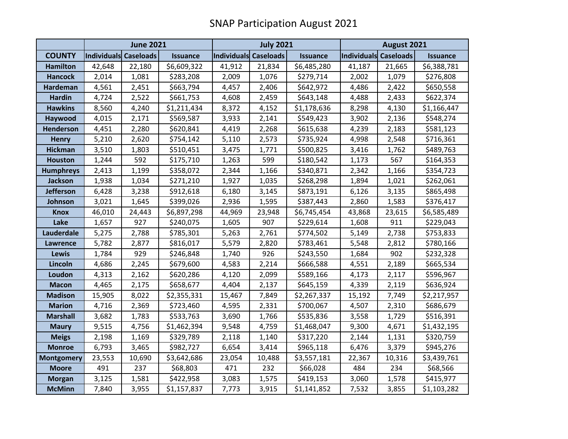|                   | <b>June 2021</b>      |        |                 | <b>July 2021</b>      |        |                 | August 2021           |        |                 |
|-------------------|-----------------------|--------|-----------------|-----------------------|--------|-----------------|-----------------------|--------|-----------------|
| <b>COUNTY</b>     | Individuals Caseloads |        | <b>Issuance</b> | Individuals Caseloads |        | <b>Issuance</b> | Individuals Caseloads |        | <b>Issuance</b> |
| <b>Hamilton</b>   | 42,648                | 22,180 | \$6,609,322     | 41,912                | 21,834 | \$6,485,280     | 41,187                | 21,665 | \$6,388,781     |
| <b>Hancock</b>    | 2,014                 | 1,081  | \$283,208       | 2,009                 | 1,076  | \$279,714       | 2,002                 | 1,079  | \$276,808       |
| Hardeman          | 4,561                 | 2,451  | \$663,794       | 4,457                 | 2,406  | \$642,972       | 4,486                 | 2,422  | \$650,558       |
| <b>Hardin</b>     | 4,724                 | 2,522  | \$661,753       | 4,608                 | 2,459  | \$643,148       | 4,488                 | 2,433  | \$622,374       |
| <b>Hawkins</b>    | 8,560                 | 4,240  | \$1,211,434     | 8,372                 | 4,152  | \$1,178,636     | 8,298                 | 4,130  | \$1,166,447     |
| Haywood           | 4,015                 | 2,171  | \$569,587       | 3,933                 | 2,141  | \$549,423       | 3,902                 | 2,136  | \$548,274       |
| <b>Henderson</b>  | 4,451                 | 2,280  | \$620,841       | 4,419                 | 2,268  | \$615,638       | 4,239                 | 2,183  | \$581,123       |
| <b>Henry</b>      | 5,210                 | 2,620  | \$754,142       | 5,110                 | 2,573  | \$735,924       | 4,998                 | 2,548  | \$716,361       |
| <b>Hickman</b>    | 3,510                 | 1,803  | \$510,451       | 3,475                 | 1,771  | \$500,825       | 3,416                 | 1,762  | \$489,763       |
| <b>Houston</b>    | 1,244                 | 592    | \$175,710       | 1,263                 | 599    | \$180,542       | 1,173                 | 567    | \$164,353       |
| <b>Humphreys</b>  | 2,413                 | 1,199  | \$358,072       | 2,344                 | 1,166  | \$340,871       | 2,342                 | 1,166  | \$354,723       |
| <b>Jackson</b>    | 1,938                 | 1,034  | \$271,210       | 1,927                 | 1,035  | \$268,298       | 1,894                 | 1,021  | \$262,061       |
| <b>Jefferson</b>  | 6,428                 | 3,238  | \$912,618       | 6,180                 | 3,145  | \$873,191       | 6,126                 | 3,135  | \$865,498       |
| Johnson           | 3,021                 | 1,645  | \$399,026       | 2,936                 | 1,595  | \$387,443       | 2,860                 | 1,583  | \$376,417       |
| <b>Knox</b>       | 46,010                | 24,443 | \$6,897,298     | 44,969                | 23,948 | \$6,745,454     | 43,868                | 23,615 | \$6,585,489     |
| Lake              | 1,657                 | 927    | \$240,075       | 1,605                 | 907    | \$229,614       | 1,608                 | 911    | \$229,043       |
| Lauderdale        | 5,275                 | 2,788  | \$785,301       | 5,263                 | 2,761  | \$774,502       | 5,149                 | 2,738  | \$753,833       |
| Lawrence          | 5,782                 | 2,877  | \$816,017       | 5,579                 | 2,820  | \$783,461       | 5,548                 | 2,812  | \$780,166       |
| Lewis             | 1,784                 | 929    | \$246,848       | 1,740                 | 926    | \$243,550       | 1,684                 | 902    | \$232,328       |
| Lincoln           | 4,686                 | 2,245  | \$679,600       | 4,583                 | 2,214  | \$666,588       | 4,551                 | 2,189  | \$665,534       |
| Loudon            | 4,313                 | 2,162  | \$620,286       | 4,120                 | 2,099  | \$589,166       | 4,173                 | 2,117  | \$596,967       |
| <b>Macon</b>      | 4,465                 | 2,175  | \$658,677       | 4,404                 | 2,137  | \$645,159       | 4,339                 | 2,119  | \$636,924       |
| <b>Madison</b>    | 15,905                | 8,022  | \$2,355,331     | 15,467                | 7,849  | \$2,267,337     | 15,192                | 7,749  | \$2,217,957     |
| <b>Marion</b>     | 4,716                 | 2,369  | \$723,460       | 4,595                 | 2,331  | \$700,067       | 4,507                 | 2,310  | \$686,679       |
| <b>Marshall</b>   | 3,682                 | 1,783  | \$533,763       | 3,690                 | 1,766  | \$535,836       | 3,558                 | 1,729  | \$516,391       |
| <b>Maury</b>      | 9,515                 | 4,756  | \$1,462,394     | 9,548                 | 4,759  | \$1,468,047     | 9,300                 | 4,671  | \$1,432,195     |
| <b>Meigs</b>      | 2,198                 | 1,169  | \$329,789       | 2,118                 | 1,140  | \$317,220       | 2,144                 | 1,131  | \$320,759       |
| <b>Monroe</b>     | 6,793                 | 3,465  | \$982,727       | 6,654                 | 3,414  | \$965,118       | 6,476                 | 3,379  | \$945,276       |
| <b>Montgomery</b> | 23,553                | 10,690 | \$3,642,686     | 23,054                | 10,488 | \$3,557,181     | 22,367                | 10,316 | \$3,439,761     |
| <b>Moore</b>      | 491                   | 237    | \$68,803        | 471                   | 232    | \$66,028        | 484                   | 234    | \$68,566        |
| <b>Morgan</b>     | 3,125                 | 1,581  | \$422,958       | 3,083                 | 1,575  | \$419,153       | 3,060                 | 1,578  | \$415,977       |
| <b>McMinn</b>     | 7,840                 | 3,955  | \$1,157,837     | 7,773                 | 3,915  | \$1,141,852     | 7,532                 | 3,855  | \$1,103,282     |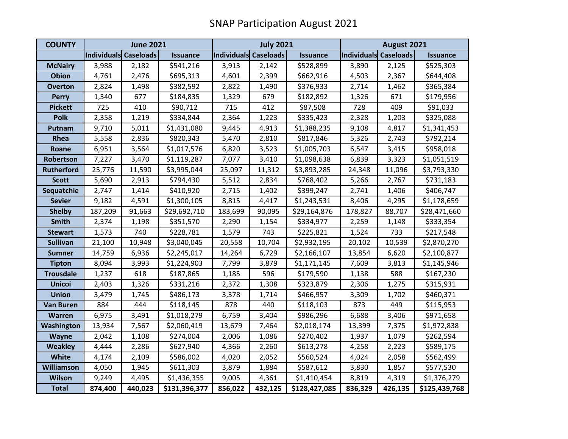| <b>COUNTY</b>     | <b>June 2021</b>      |         |                 | <b>July 2021</b>      |         |                 | August 2021           |         |                 |
|-------------------|-----------------------|---------|-----------------|-----------------------|---------|-----------------|-----------------------|---------|-----------------|
|                   | Individuals Caseloads |         | <b>Issuance</b> | Individuals Caseloads |         | <b>Issuance</b> | Individuals Caseloads |         | <b>Issuance</b> |
| <b>McNairy</b>    | 3,988                 | 2,182   | \$541,216       | 3,913                 | 2,142   | \$528,899       | 3,890                 | 2,125   | \$525,303       |
| <b>Obion</b>      | 4,761                 | 2,476   | \$695,313       | 4,601                 | 2,399   | \$662,916       | 4,503                 | 2,367   | \$644,408       |
| <b>Overton</b>    | 2,824                 | 1,498   | \$382,592       | 2,822                 | 1,490   | \$376,933       | 2,714                 | 1,462   | \$365,384       |
| <b>Perry</b>      | 1,340                 | 677     | \$184,835       | 1,329                 | 679     | \$182,892       | 1,326                 | 671     | \$179,956       |
| <b>Pickett</b>    | 725                   | 410     | \$90,712        | 715                   | 412     | \$87,508        | 728                   | 409     | \$91,033        |
| <b>Polk</b>       | 2,358                 | 1,219   | \$334,844       | 2,364                 | 1,223   | \$335,423       | 2,328                 | 1,203   | \$325,088       |
| Putnam            | 9,710                 | 5,011   | \$1,431,080     | 9,445                 | 4,913   | \$1,388,235     | 9,108                 | 4,817   | \$1,341,453     |
| Rhea              | 5,558                 | 2,836   | \$820,343       | 5,470                 | 2,810   | \$817,846       | 5,326                 | 2,743   | \$792,214       |
| Roane             | 6,951                 | 3,564   | \$1,017,576     | 6,820                 | 3,523   | \$1,005,703     | 6,547                 | 3,415   | \$958,018       |
| Robertson         | 7,227                 | 3,470   | \$1,119,287     | 7,077                 | 3,410   | \$1,098,638     | 6,839                 | 3,323   | \$1,051,519     |
| <b>Rutherford</b> | 25,776                | 11,590  | \$3,995,044     | 25,097                | 11,312  | \$3,893,285     | 24,348                | 11,096  | \$3,793,330     |
| <b>Scott</b>      | 5,690                 | 2,913   | \$794,430       | 5,512                 | 2,834   | \$768,402       | 5,266                 | 2,767   | \$731,183       |
| Sequatchie        | 2,747                 | 1,414   | \$410,920       | 2,715                 | 1,402   | \$399,247       | 2,741                 | 1,406   | \$406,747       |
| <b>Sevier</b>     | 9,182                 | 4,591   | \$1,300,105     | 8,815                 | 4,417   | \$1,243,531     | 8,406                 | 4,295   | \$1,178,659     |
| <b>Shelby</b>     | 187,209               | 91,663  | \$29,692,710    | 183,699               | 90,095  | \$29,164,876    | 178,827               | 88,707  | \$28,471,660    |
| <b>Smith</b>      | 2,374                 | 1,198   | \$351,570       | 2,290                 | 1,154   | \$334,977       | 2,259                 | 1,148   | \$333,354       |
| <b>Stewart</b>    | 1,573                 | 740     | \$228,781       | 1,579                 | 743     | \$225,821       | 1,524                 | 733     | \$217,548       |
| <b>Sullivan</b>   | 21,100                | 10,948  | \$3,040,045     | 20,558                | 10,704  | \$2,932,195     | 20,102                | 10,539  | \$2,870,270     |
| <b>Sumner</b>     | 14,759                | 6,936   | \$2,245,017     | 14,264                | 6,729   | \$2,166,107     | 13,854                | 6,620   | \$2,100,877     |
| <b>Tipton</b>     | 8,094                 | 3,993   | \$1,224,903     | 7,799                 | 3,879   | \$1,171,145     | 7,609                 | 3,813   | \$1,145,946     |
| <b>Trousdale</b>  | 1,237                 | 618     | \$187,865       | 1,185                 | 596     | \$179,590       | 1,138                 | 588     | \$167,230       |
| <b>Unicoi</b>     | 2,403                 | 1,326   | \$331,216       | 2,372                 | 1,308   | \$323,879       | 2,306                 | 1,275   | \$315,931       |
| <b>Union</b>      | 3,479                 | 1,745   | \$486,173       | 3,378                 | 1,714   | \$466,957       | 3,309                 | 1,702   | \$460,371       |
| <b>Van Buren</b>  | 884                   | 444     | \$118,145       | 878                   | 440     | \$118,103       | 873                   | 449     | \$115,953       |
| Warren            | 6,975                 | 3,491   | \$1,018,279     | 6,759                 | 3,404   | \$986,296       | 6,688                 | 3,406   | \$971,658       |
| Washington        | 13,934                | 7,567   | \$2,060,419     | 13,679                | 7,464   | \$2,018,174     | 13,399                | 7,375   | \$1,972,838     |
| <b>Wayne</b>      | 2,042                 | 1,108   | \$274,004       | 2,006                 | 1,086   | \$270,402       | 1,937                 | 1,079   | \$262,594       |
| <b>Weakley</b>    | 4,444                 | 2,286   | \$627,940       | 4,366                 | 2,260   | \$613,278       | 4,258                 | 2,223   | \$589,175       |
| <b>White</b>      | 4,174                 | 2,109   | \$586,002       | 4,020                 | 2,052   | \$560,524       | 4,024                 | 2,058   | \$562,499       |
| <b>Williamson</b> | 4,050                 | 1,945   | \$611,303       | 3,879                 | 1,884   | \$587,612       | 3,830                 | 1,857   | \$577,530       |
| <b>Wilson</b>     | 9,249                 | 4,495   | \$1,436,355     | 9,005                 | 4,361   | \$1,410,454     | 8,819                 | 4,319   | \$1,376,279     |
| <b>Total</b>      | 874,400               | 440,023 | \$131,396,377   | 856,022               | 432,125 | \$128,427,085   | 836,329               | 426,135 | \$125,439,768   |